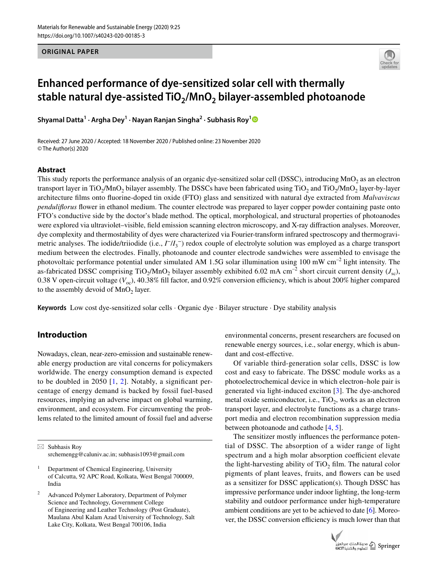**ORIGINAL PAPER**



# **Enhanced performance of dye‑sensitized solar cell with thermally stable natural dye‑assisted TiO<sup>2</sup> /MnO<sup>2</sup> bilayer‑assembled photoanode**

**Shyamal Datta<sup>1</sup> · Argha Dey<sup>1</sup> · Nayan Ranjan Singha<sup>2</sup> · Subhasis Roy[1](http://orcid.org/0000-0003-4197-535X)**

Received: 27 June 2020 / Accepted: 18 November 2020 / Published online: 23 November 2020 © The Author(s) 2020

## **Abstract**

This study reports the performance analysis of an organic dye-sensitized solar cell (DSSC), introducing  $MnO_2$  as an electron transport layer in TiO<sub>2</sub>/MnO<sub>2</sub> bilayer assembly. The DSSCs have been fabricated using TiO<sub>2</sub> and TiO<sub>2</sub>/MnO<sub>2</sub> layer-by-layer architecture films onto fluorine-doped tin oxide (FTO) glass and sensitized with natural dye extracted from *Malvaviscus penduliflorus* flower in ethanol medium. The counter electrode was prepared to layer copper powder containing paste onto FTO's conductive side by the doctor's blade method. The optical, morphological, and structural properties of photoanodes were explored via ultraviolet–visible, field emission scanning electron microscopy, and X-ray diffraction analyses. Moreover, dye complexity and thermostability of dyes were characterized via Fourier-transform infrared spectroscopy and thermogravimetric analyses. The iodide/triiodide (i.e.,  $I$ <sup>−</sup>/*I*<sub>3</sub><sup>−</sup>) redox couple of electrolyte solution was employed as a charge transport medium between the electrodes. Finally, photoanode and counter electrode sandwiches were assembled to envisage the photovoltaic performance potential under simulated AM 1.5G solar illumination using 100 mW cm–2 light intensity. The as-fabricated DSSC comprising  $TiO_2/MnO_2$  bilayer assembly exhibited 6.02 mA cm<sup>-2</sup> short circuit current density ( $J_{sc}$ ), 0.38 V open-circuit voltage ( $V_{\text{oc}}$ ), 40.38% fill factor, and 0.92% conversion efficiency, which is about 200% higher compared to the assembly devoid of  $MnO<sub>2</sub>$  layer.

**Keywords** Low cost dye-sensitized solar cells · Organic dye · Bilayer structure · Dye stability analysis

# **Introduction**

Nowadays, clean, near-zero-emission and sustainable renewable energy production are vital concerns for policymakers worldwide. The energy consumption demand is expected to be doubled in 2050 [\[1,](#page-9-0) [2\]](#page-9-1). Notably, a significant percentage of energy demand is backed by fossil fuel-based resources, implying an adverse impact on global warming, environment, and ecosystem. For circumventing the problems related to the limited amount of fossil fuel and adverse

- 1 Department of Chemical Engineering, University of Calcutta, 92 APC Road, Kolkata, West Bengal 700009, India
- 2 Advanced Polymer Laboratory, Department of Polymer Science and Technology, Government College of Engineering and Leather Technology (Post Graduate), Maulana Abul Kalam Azad University of Technology, Salt Lake City, Kolkata, West Bengal 700106, India

environmental concerns, present researchers are focused on renewable energy sources, i.e., solar energy, which is abundant and cost-effective.

Of variable third-generation solar cells, DSSC is low cost and easy to fabricate. The DSSC module works as a photoelectrochemical device in which electron–hole pair is generated via light-induced exciton [[3\]](#page-9-2). The dye-anchored metal oxide semiconductor, i.e.,  $TiO<sub>2</sub>$ , works as an electron transport layer, and electrolyte functions as a charge transport media and electron recombination suppression media between photoanode and cathode [[4,](#page-9-3) [5\]](#page-9-4).

The sensitizer mostly influences the performance potential of DSSC. The absorption of a wider range of light spectrum and a high molar absorption coefficient elevate the light-harvesting ability of  $TiO<sub>2</sub>$  film. The natural color pigments of plant leaves, fruits, and flowers can be used as a sensitizer for DSSC application(s). Though DSSC has impressive performance under indoor lighting, the long-term stability and outdoor performance under high-temperature ambient conditions are yet to be achieved to date [[6\]](#page-9-5). Moreover, the DSSC conversion efficiency is much lower than that



 $\boxtimes$  Subhasis Roy srchemengg@caluniv.ac.in; subhasis1093@gmail.com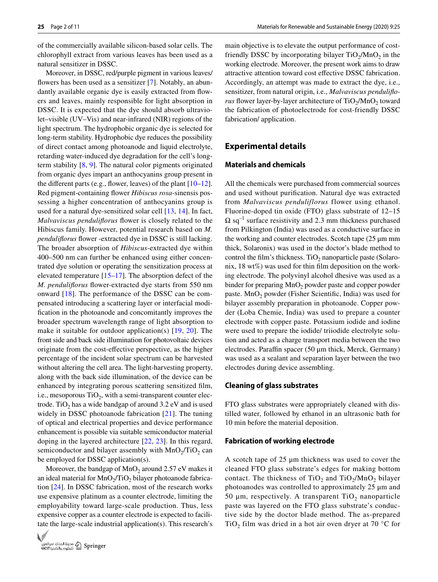of the commercially available silicon-based solar cells. The chlorophyll extract from various leaves has been used as a natural sensitizer in DSSC.

Moreover, in DSSC, red/purple pigment in various leaves/ flowers has been used as a sensitizer [[7\]](#page-9-6). Notably, an abundantly available organic dye is easily extracted from flowers and leaves, mainly responsible for light absorption in DSSC. It is expected that the dye should absorb ultraviolet–visible (UV–Vis) and near-infrared (NIR) regions of the light spectrum. The hydrophobic organic dye is selected for long-term stability. Hydrophobic dye reduces the possibility of direct contact among photoanode and liquid electrolyte, retarding water-induced dye degradation for the cell's longterm stability [\[8](#page-9-7), [9\]](#page-9-8). The natural color pigments originated from organic dyes impart an anthocyanins group present in the different parts (e.g., flower, leaves) of the plant  $[10-12]$  $[10-12]$ . Red pigment-containing flower *Hibiscus rosa*-sinensis possessing a higher concentration of anthocyanins group is used for a natural dye-sensitized solar cell [[13](#page-9-11), [14](#page-9-12)]. In fact, *Malvaviscus penduliflorus* flower is closely related to the Hibiscus family. However, potential research based on *M. penduliflorus* flower -extracted dye in DSSC is still lacking. The broader absorption of *Hibiscus*-extracted dye within 400–500 nm can further be enhanced using either concentrated dye solution or operating the sensitization process at elevated temperature [\[15](#page-9-13)[–17](#page-9-14)]. The absorption defect of the *M. penduliflorus* flower-extracted dye starts from 550 nm onward [[18](#page-9-15)]. The performance of the DSSC can be compensated introducing a scattering layer or interfacial modification in the photoanode and concomitantly improves the broader spectrum wavelength range of light absorption to make it suitable for outdoor application(s)  $[19, 20]$  $[19, 20]$  $[19, 20]$  $[19, 20]$ . The front side and back side illumination for photovoltaic devices originate from the cost-effective perspective, as the higher percentage of the incident solar spectrum can be harvested without altering the cell area. The light-harvesting property, along with the back side illumination, of the device can be enhanced by integrating porous scattering sensitized film, i.e., mesoporous  $TiO<sub>2</sub>$ , with a semi-transparent counter electrode. TiO<sub>2</sub> has a wide bandgap of around  $3.2$  eV and is used widely in DSSC photoanode fabrication [\[21\]](#page-10-0). The tuning of optical and electrical properties and device performance enhancement is possible via suitable semiconductor material doping in the layered architecture [\[22](#page-10-1), [23](#page-10-2)]. In this regard, semiconductor and bilayer assembly with  $MnO_2/TiO_2$  can be employed for DSSC application(s).

Moreover, the bandgap of  $MnO<sub>2</sub>$  around 2.57 eV makes it an ideal material for  $MnO_2/TiO_2$  bilayer photoanode fabrication [[24](#page-10-3)]. In DSSC fabrication, most of the research works use expensive platinum as a counter electrode, limiting the employability toward large-scale production. Thus, less expensive copper as a counter electrode is expected to facilitate the large-scale industrial application(s). This research's



main objective is to elevate the output performance of costfriendly DSSC by incorporating bilayer  $TiO_2/MnO_2$  in the working electrode. Moreover, the present work aims to draw attractive attention toward cost effective DSSC fabrication. Accordingly, an attempt was made to extract the dye, i.e., sensitizer, from natural origin, i.e., *Malvaviscus penduliflo*rus flower layer-by-layer architecture of TiO<sub>2</sub>/MnO<sub>2</sub> toward the fabrication of photoelectrode for cost-friendly DSSC fabrication/ application.

# **Experimental details**

## **Materials and chemicals**

All the chemicals were purchased from commercial sources and used without purification. Natural dye was extracted from *Malvaviscus penduliflorus* flower using ethanol. Fluorine-doped tin oxide (FTO) glass substrate of 12–15  $\Omega$  sq<sup>-1</sup> surface resistivity and 2.3 mm thickness purchased from Pilkington (India) was used as a conductive surface in the working and counter electrodes. Scotch tape (25 μm mm thick, Solaronix) was used in the doctor's blade method to control the film's thickness.  $TiO<sub>2</sub>$  nanoparticle paste (Solaronix, 18 wt%) was used for thin film deposition on the working electrode. The polyvinyl alcohol dhesive was used as a binder for preparing MnO<sub>2</sub> powder paste and copper powder paste. MnO<sub>2</sub> powder (Fisher Scientific, India) was used for bilayer assembly preparation in photoanode. Copper powder (Loba Chemie, India) was used to prepare a counter electrode with copper paste. Potassium iodide and iodine were used to prepare the iodide/ triiodide electrolyte solution and acted as a charge transport media between the two electrodes. Paraffin spacer (50 μm thick, Merck, Germany) was used as a sealant and separation layer between the two electrodes during device assembling.

#### **Cleaning of glass substrates**

FTO glass substrates were appropriately cleaned with distilled water, followed by ethanol in an ultrasonic bath for 10 min before the material deposition.

## **Fabrication of working electrode**

A scotch tape of 25 μm thickness was used to cover the cleaned FTO glass substrate's edges for making bottom contact. The thickness of  $TiO<sub>2</sub>$  and  $TiO<sub>2</sub>/MnO<sub>2</sub>$  bilayer photoanodes was controlled to approximately 25 μm and 50 μm, respectively. A transparent  $TiO<sub>2</sub>$  nanoparticle paste was layered on the FTO glass substrate's conductive side by the doctor blade method. The as-prepared TiO<sub>2</sub> film was dried in a hot air oven dryer at 70 °C for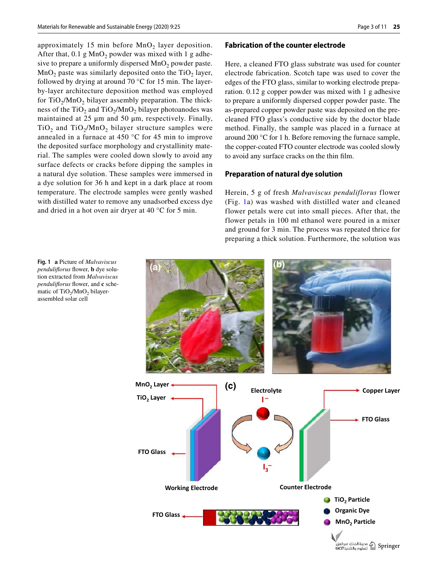approximately 15 min before  $MnO<sub>2</sub>$  layer deposition. After that,  $0.1$  g MnO<sub>2</sub> powder was mixed with 1 g adhesive to prepare a uniformly dispersed  $MnO<sub>2</sub>$  powder paste.  $MnO<sub>2</sub>$  paste was similarly deposited onto the TiO<sub>2</sub> layer, followed by drying at around 70 °C for 15 min. The layerby-layer architecture deposition method was employed for  $TiO_2/MnO_2$  bilayer assembly preparation. The thickness of the  $TiO_2$  and  $TiO_2/MnO_2$  bilayer photoanodes was maintained at 25 μm and 50 μm, respectively. Finally,  $TiO<sub>2</sub>$  and  $TiO<sub>2</sub>/MnO<sub>2</sub>$  bilayer structure samples were annealed in a furnace at 450 °C for 45 min to improve the deposited surface morphology and crystallinity material. The samples were cooled down slowly to avoid any surface defects or cracks before dipping the samples in a natural dye solution. These samples were immersed in a dye solution for 36 h and kept in a dark place at room temperature. The electrode samples were gently washed with distilled water to remove any unadsorbed excess dye and dried in a hot oven air dryer at 40 °C for 5 min.

# **Fabrication of the counter electrode**

Here, a cleaned FTO glass substrate was used for counter electrode fabrication. Scotch tape was used to cover the edges of the FTO glass, similar to working electrode preparation. 0.12 g copper powder was mixed with 1 g adhesive to prepare a uniformly dispersed copper powder paste. The as-prepared copper powder paste was deposited on the precleaned FTO glass's conductive side by the doctor blade method. Finally, the sample was placed in a furnace at around 200 °C for 1 h. Before removing the furnace sample, the copper-coated FTO counter electrode was cooled slowly to avoid any surface cracks on the thin film.

## **Preparation of natural dye solution**

Herein, 5 g of fresh *Malvaviscus penduliflorus* flower (Fig. [1a](#page-2-0)) was washed with distilled water and cleaned flower petals were cut into small pieces. After that, the flower petals in 100 ml ethanol were poured in a mixer and ground for 3 min. The process was repeated thrice for preparing a thick solution. Furthermore, the solution was



<span id="page-2-0"></span>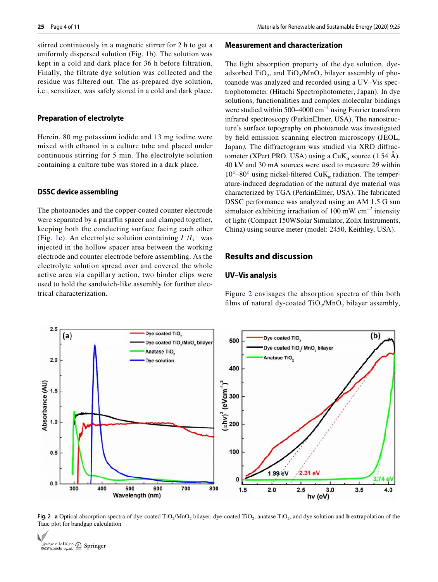stirred continuously in a magnetic stirrer for 2 h to get a uniformly dispersed solution (Fig. [1](#page-2-0)b). The solution was kept in a cold and dark place for 36 h before filtration. Finally, the filtrate dye solution was collected and the residue was filtered out. The as-prepared dye solution, i.e., sensitizer, was safely stored in a cold and dark place.

#### **Preparation of electrolyte**

Herein, 80 mg potassium iodide and 13 mg iodine were mixed with ethanol in a culture tube and placed under continuous stirring for 5 min. The electrolyte solution containing a culture tube was stored in a dark place.

# **DSSC device assembling**

The photoanodes and the copper-coated counter electrode were separated by a paraffin spacer and clamped together, keeping both the conducting surface facing each other (Fig. [1](#page-2-0)c). An electrolyte solution containing  $I^{-}/I_3^{-}$  was injected in the hollow spacer area between the working electrode and counter electrode before assembling. As the electrolyte solution spread over and covered the whole active area via capillary action, two binder clips were used to hold the sandwich-like assembly for further electrical characterization.

#### **Measurement and characterization**

The light absorption property of the dye solution, dyeadsorbed  $TiO<sub>2</sub>$ , and  $TiO<sub>2</sub>/MnO<sub>2</sub>$  bilayer assembly of photoanode was analyzed and recorded using a UV–Vis spectrophotometer (Hitachi Spectrophotometer, Japan). In dye solutions, functionalities and complex molecular bindings were studied within  $500-4000$  cm<sup>-1</sup> using Fourier transform infrared spectroscopy (PerkinElmer, USA). The nanostructure's surface topography on photoanode was investigated by field emission scanning electron microscopy (JEOL, Japan*).* The diffractogram was studied via XRD diffractometer (XPert PRO, USA) using a Cu $K_{\alpha}$  source (1.54 Å). 40 kV and 30 mA sources were used to measure 2*θ* within 10°-80° using nickel-filtered CuK<sub> $\alpha$ </sub> radiation. The temperature-induced degradation of the natural dye material was characterized by TGA (PerkinElmer, USA). The fabricated DSSC performance was analyzed using an AM 1.5 G sun simulator exhibiting irradiation of 100 mW  $\text{cm}^{-2}$  intensity of light (Compact 150WSolar Simulator, Zolix Instruments, China) using source meter (model: 2450, Keithley, USA).

# **Results and discussion**

## **UV–Vis analysis**

Figure [2](#page-3-0) envisages the absorption spectra of thin both films of natural dy-coated  $TiO_2/MnO_2$  bilayer assembly,



<span id="page-3-0"></span>**Fig. 2** a Optical absorption spectra of dye-coated  $TiO_2/MnO_2$  bilayer, dye-coated  $TiO_2$ , anatase  $TiO_2$ , and dye solution and **b** extrapolation of the Tauc plot for bandgap calculation

مدينة الملك عبدالعزيز<br>Kacsī مصر التقنية Springer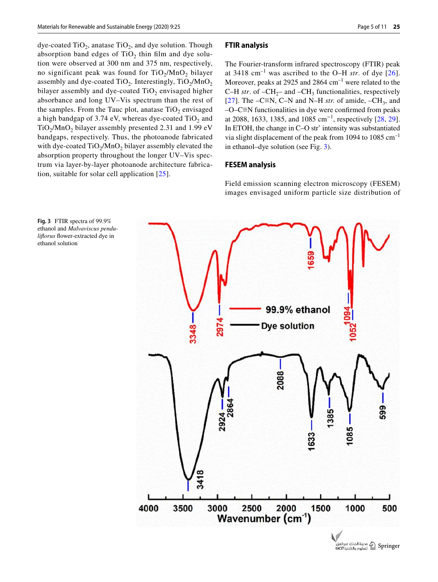dye-coated  $TiO<sub>2</sub>$ , anatase  $TiO<sub>2</sub>$ , and dye solution. Though absorption band edges of  $TiO<sub>2</sub>$  thin film and dye solution were observed at 300 nm and 375 nm, respectively, no significant peak was found for  $TiO_2/MnO_2$  bilayer assembly and dye-coated  $TiO_2$ . Interestingly,  $TiO_2/MnO_2$ bilayer assembly and dye-coated  $TiO<sub>2</sub>$  envisaged higher absorbance and long UV–Vis spectrum than the rest of the samples. From the Tauc plot, anatase  $TiO<sub>2</sub>$  envisaged a high bandgap of 3.74 eV, whereas dye-coated  $TiO<sub>2</sub>$  and  $TiO<sub>2</sub>/MnO<sub>2</sub>$  bilayer assembly presented 2.31 and 1.99 eV bandgaps, respectively. Thus, the photoanode fabricated with dye-coated  $TiO_2/MnO_2$  bilayer assembly elevated the absorption property throughout the longer UV–Vis spectrum via layer-by-layer photoanode architecture fabrication, suitable for solar cell application [[25](#page-10-4)].

## **FTIR analysis**

The Fourier-transform infrared spectroscopy (FTIR) peak at  $3418 \text{ cm}^{-1}$  was ascribed to the O–H *str*. of dye [[26](#page-10-5)]. Moreover, peaks at 2925 and 2864  $cm^{-1}$  were related to the C–H str. of  $-CH_2$ – and  $-CH_3$  functionalities, respectively [[27\]](#page-10-6). The  $-C \equiv N$ , C–N and N–H *str*. of amide,  $-CH_3$ , and –O–C≡N functionalities in dye were confirmed from peaks at 2088, 1633, 1385, and 1085 cm−1, respectively [[28](#page-10-7), [29](#page-10-8)]. In ETOH, the change in C–O str' intensity was substantiated via slight displacement of the peak from 1094 to  $1085 \text{ cm}^{-1}$ in ethanol–dye solution (see Fig. [3](#page-4-0)).

## **FESEM analysis**

Field emission scanning electron microscopy (FESEM) images envisaged uniform particle size distribution of



<span id="page-4-0"></span>**Fig. 3** FTIR spectra of 99.9% ethanol and *Malvaviscus penduliflorus* flower-extracted dye in ethanol solution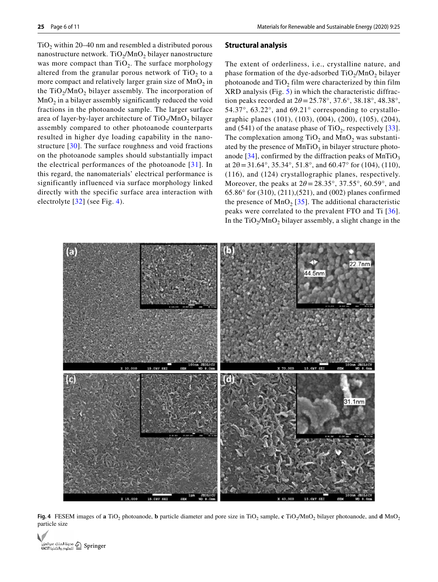TiO<sub>2</sub> within 20–40 nm and resembled a distributed porous nanostructure network. Ti $O_2/MnO_2$  bilayer nanostructure was more compact than  $TiO<sub>2</sub>$ . The surface morphology altered from the granular porous network of  $TiO<sub>2</sub>$  to a more compact and relatively larger grain size of  $MnO<sub>2</sub>$  in the  $TiO_2/MnO_2$  bilayer assembly. The incorporation of  $MnO<sub>2</sub>$  in a bilayer assembly significantly reduced the void fractions in the photoanode sample. The larger surface area of layer-by-layer architecture of  $\text{TiO}_2/\text{MnO}_2$  bilayer assembly compared to other photoanode counterparts resulted in higher dye loading capability in the nanostructure [[30](#page-10-9)]. The surface roughness and void fractions on the photoanode samples should substantially impact the electrical performances of the photoanode [[31\]](#page-10-10). In this regard, the nanomaterials' electrical performance is significantly influenced via surface morphology linked directly with the specific surface area interaction with electrolyte [[32](#page-10-11)] (see Fig. [4](#page-5-0)).

#### **Structural analysis**

The extent of orderliness, i.e., crystalline nature, and phase formation of the dye-adsorbed  $TiO_2/MnO_2$  bilayer photoanode and  $TiO<sub>2</sub>$  film were characterized by thin film XRD analysis (Fig. [5](#page-6-0)) in which the characteristic diffraction peaks recorded at  $2\theta = 25.78^{\circ}$ , 37.6°, 38.18°, 48.38°, 54.37°, 63.22°, and 69.21° corresponding to crystallographic planes (101), (103), (004), (200), (105), (204), and (541) of the anatase phase of  $TiO_2$ , respectively [[33](#page-10-12)]. The complexation among  $TiO<sub>2</sub>$  and  $MnO<sub>2</sub>$  was substantiated by the presence of  $MnTiO<sub>3</sub>$  in bilayer structure photo-anode [[34\]](#page-10-13), confirmed by the diffraction peaks of  $MnTiO<sub>3</sub>$ at  $2\theta = 31.64^{\circ}$ ,  $35.34^{\circ}$ ,  $51.8^{\circ}$ , and  $60.47^{\circ}$  for (104), (110), (116), and (124) crystallographic planes, respectively. Moreover, the peaks at  $2\theta = 28.35^{\circ}$ , 37.55°, 60.59°, and 65.86° for (310), (211),(521), and (002) planes confirmed the presence of  $\text{MnO}_2$  [\[35\]](#page-10-14). The additional characteristic peaks were correlated to the prevalent FTO and Ti [[36](#page-10-15)]. In the  $TiO_2/MnO_2$  bilayer assembly, a slight change in the



<span id="page-5-0"></span>**Fig. 4** FESEM images of **a** TiO<sub>2</sub> photoanode, **b** particle diameter and pore size in TiO<sub>2</sub> sample, **c** TiO<sub>2</sub>/MnO<sub>2</sub> bilayer photoanode, and **d** MnO<sub>2</sub> particle size

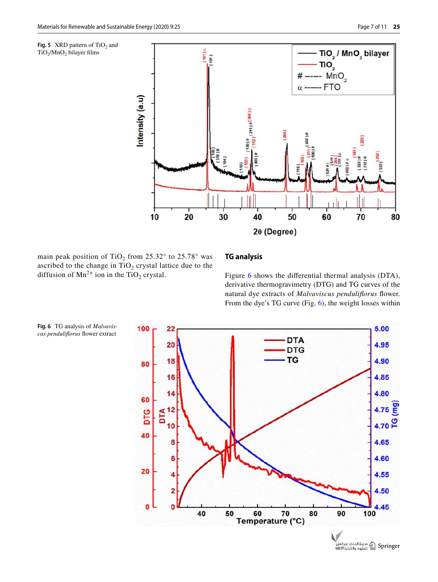<span id="page-6-0"></span>



main peak position of  $TiO<sub>2</sub>$  from 25.32° to 25.78° was ascribed to the change in  $TiO<sub>2</sub>$  crystal lattice due to the diffusion of  $Mn^{2+}$  ion in the TiO<sub>2</sub> crystal.

# **TG analysis**

Figure [6](#page-6-1) shows the differential thermal analysis (DTA), derivative thermogravimetry (DTG) and TG curves of the natural dye extracts of *Malvaviscus penduliflorus* flower. From the dye's TG curve (Fig. [6\)](#page-6-1), the weight losses within

![](_page_6_Figure_7.jpeg)

<span id="page-6-1"></span>**Fig. 6** TG analysis of *Malvaviscus penduliflorus* flower extract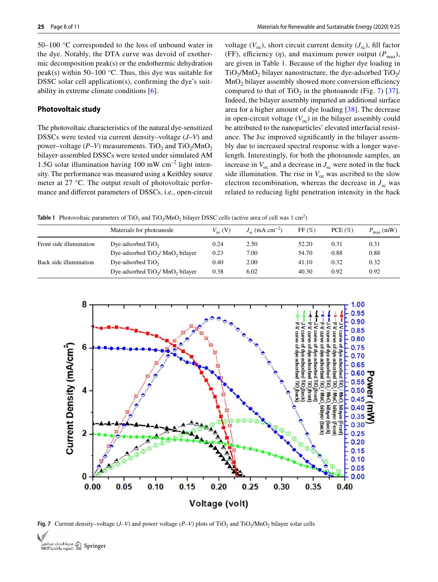50–100 °C corresponded to the loss of unbound water in the dye. Notably, the DTA curve was devoid of exothermic decomposition peak(s) or the endothermic dehydration peak(s) within 50–100  $^{\circ}$ C. Thus, this dye was suitable for DSSC solar cell application(s), confirming the dye's suitability in extreme climate conditions [[6\]](#page-9-5).

# **Photovoltaic study**

The photovoltaic characteristics of the natural dye-sensitized DSSCs were tested via current density–voltage (*J*–*V*) and power–voltage  $(P-V)$  measurements. TiO<sub>2</sub> and TiO<sub>2</sub>/MnO<sub>2</sub> bilayer-assembled DSSCs were tested under simulated AM 1.5G solar illumination having 100 mW  $cm^{-2}$  light intensity. The performance was measured using a Keithley source meter at 27 °C. The output result of photovoltaic performance and different parameters of DSSCs, i.e., open-circuit

voltage  $(V<sub>oc</sub>)$ , short circuit current density  $(J<sub>sc</sub>)$ , fill factor (FF), efficiency  $(\eta)$ , and maximum power output  $(P_{\text{max}})$ , are given in Table [1](#page-7-0). Because of the higher dye loading in  $TiO<sub>2</sub>/MnO<sub>2</sub>$  bilayer nanostructure, the dye-adsorbed  $TiO<sub>2</sub>/$  $MnO<sub>2</sub>$  bilayer assembly showed more conversion efficiency compared to that of  $TiO<sub>2</sub>$  in the photoanode (Fig. [7](#page-7-1)) [[37](#page-10-16)]. Indeed, the bilayer assembly imparted an additional surface area for a higher amount of dye loading [[38\]](#page-10-17). The decrease in open-circuit voltage  $(V_{oc})$  in the bilayer assembly could be attributed to the nanoparticles' elevated interfacial resistance. The Jsc improved significantly in the bilayer assembly due to increased spectral response with a longer wavelength. Interestingly, for both the photoanode samples, an increase in  $V_{\text{oc}}$  and a decrease in  $J_{\text{sc}}$  were noted in the back side illumination. The rise in  $V_{\text{oc}}$  was ascribed to the slow electron recombination, whereas the decrease in  $J_{\rm sc}$  was related to reducing light penetration intensity in the back

<span id="page-7-0"></span>**Table 1** Photovoltaic parameters of  $TiO_2$  and  $TiO_2/MnO_2$  bilayer DSSC cells (active area of cell was 1 cm<sup>2</sup>)

|                         | Materials for photoanode          | $V_{\infty}$ (V) | $J_{\rm sc}$ (mA cm <sup>-2</sup> ) | FF(%) | PCE(%) | $P_{\text{max}}$ (mW) |
|-------------------------|-----------------------------------|------------------|-------------------------------------|-------|--------|-----------------------|
| Front side illumination | Dye-adsorbed $TiO2$               | 0.24             | 2.50                                | 52.20 | 0.31   | 0.31                  |
|                         | Dye-adsorbed $TiO2/ MnO2 bilayer$ | 0.23             | 7.00                                | 54.70 | 0.88   | 0.88                  |
| Back side illumination  | Dye-adsorbed $TiO2$               | 0.40             | 2.00                                | 41.10 | 0.32   | 0.32                  |
|                         | Dye-adsorbed $TiO2/ MnO2 bilayer$ | 0.38             | 6.02                                | 40.30 | 0.92   | 0.92                  |

![](_page_7_Figure_8.jpeg)

<span id="page-7-1"></span>**Fig. 7** Current density–voltage  $(J-V)$  and power voltage  $(P-V)$  plots of TiO<sub>2</sub> and TiO<sub>2</sub>/MnO<sub>2</sub> bilayer solar cells

مدينة الملك عبدالعزيز Kacsī في Springer<br>Kacsī العلوم والتقنية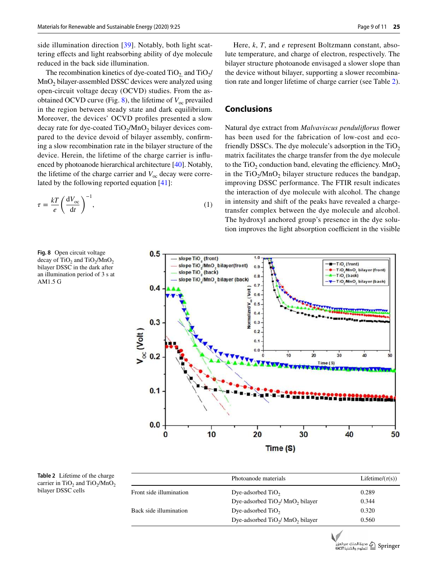side illumination direction [\[39\]](#page-10-18). Notably, both light scattering effects and light reabsorbing ability of dye molecule reduced in the back side illumination.

The recombination kinetics of dye-coated  $TiO<sub>2</sub>$  and  $TiO<sub>2</sub>$ MnO<sup>2</sup> bilayer-assembled DSSC devices were analyzed using open-circuit voltage decay (OCVD) studies. From the as-obtained OCVD curve (Fig. [8](#page-8-0)), the lifetime of  $V_{\text{oc}}$  prevailed in the region between steady state and dark equilibrium. Moreover, the devices' OCVD profiles presented a slow decay rate for dye-coated  $TiO_2/MnO_2$  bilayer devices compared to the device devoid of bilayer assembly, confirming a slow recombination rate in the bilayer structure of the device. Herein, the lifetime of the charge carrier is influenced by photoanode hierarchical architecture [[40\]](#page-10-19). Notably, the lifetime of the charge carrier and  $V_{\text{oc}}$  decay were correlated by the following reported equation [\[41\]](#page-10-20):

$$
\tau = \frac{k}{e} \left( \frac{\mathrm{d}V_{\mathrm{oc}}}{\mathrm{d}t} \right)^{-1},\tag{1}
$$

Here, *k*, *T*, and *e* represent Boltzmann constant, absolute temperature, and charge of electron, respectively. The bilayer structure photoanode envisaged a slower slope than the device without bilayer, supporting a slower recombination rate and longer lifetime of charge carrier (see Table [2](#page-8-1)).

# **Conclusions**

Natural dye extract from *Malvaviscus penduliflorus* flower has been used for the fabrication of low-cost and ecofriendly DSSCs. The dye molecule's adsorption in the  $TiO<sub>2</sub>$ matrix facilitates the charge transfer from the dye molecule to the TiO<sub>2</sub> conduction band, elevating the efficiency.  $MnO_2$ in the  $TiO_2/MnO_2$  bilayer structure reduces the bandgap, improving DSSC performance. The FTIR result indicates the interaction of dye molecule with alcohol. The change in intensity and shift of the peaks have revealed a chargetransfer complex between the dye molecule and alcohol. The hydroxyl anchored group's presence in the dye solution improves the light absorption coefficient in the visible

![](_page_8_Figure_8.jpeg)

|                         | Photoanode materials              | Lifetime/ $(\tau(s))$ |  |
|-------------------------|-----------------------------------|-----------------------|--|
| Front side illumination | Dye-adsorbed $TiO2$               | 0.289                 |  |
|                         | Dye-adsorbed $TiO2/ MnO2 bilayer$ | 0.344                 |  |
| Back side illumination  | Dye-adsorbed $TiO2$               | 0.320                 |  |
|                         | Dye-adsorbed $TiO2/ MnO2$ bilayer | 0.560                 |  |

الملك عبدالعزيز Cpringer<br>KACST العلوم والتقنية KACST

<span id="page-8-1"></span>**Table 2** Lifetime of the charge carrier in  $TiO_2$  and  $TiO_2/MnO_2$ bilayer DSSC cells

<span id="page-8-0"></span>![](_page_8_Figure_11.jpeg)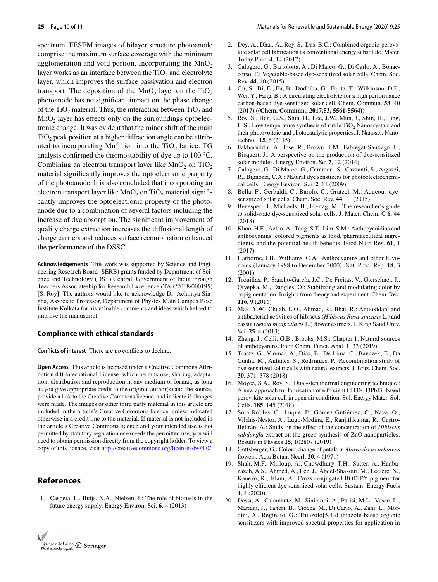spectrum. FESEM images of bilayer structure photoanode comprise the maximum surface coverage with the minimum agglomeration and void portion. Incorporating the  $MnO<sub>2</sub>$ layer works as an interface between the  $TiO<sub>2</sub>$  and electrolyte layer, which improves the surface passivation and electron transport. The deposition of the  $MnO<sub>2</sub>$  layer on the TiO<sub>2</sub> photoanode has no significant impact on the phase change of the TiO<sub>2</sub> material. Thus, the interaction between  $TiO<sub>2</sub>$  and  $MnO<sub>2</sub>$  layer has effects only on the surroundings optoelectronic change. It was evident that the minor shift of the main  $TiO<sub>2</sub>$  peak position at a higher diffraction angle can be attributed to incorporating  $Mn^{2+}$  ion into the TiO<sub>2</sub> lattice. TG analysis confirmed the thermostability of dye up to 100 °C. Combining an electron transport layer like  $MnO_2$  on TiO<sub>2</sub> material significantly improves the optoelectronic property of the photoanode. It is also concluded that incorporating an electron transport layer like  $MnO_2$  on TiO<sub>2</sub> material significantly improves the optoelectronic property of the photoanode due to a combination of several factors including the increase of dye absorption. The significant improvement of quality charge extraction increases the diffusional length of charge carriers and reduces surface recombination enhanced the performance of the DSSC.

**Acknowledgements** This work was supported by Science and Engineering Research Board (SERB) grants funded by Department of Science and Technology (DST) Central, Government of India through Teachers Associateship for Research Excellence (TAR/2018/000195) [S. Roy]. The authors would like to acknowledge Dr. Achintya Singha, Associate Professor, Department of Physics Main Campus Bose Institute Kolkata for his valuable comments and ideas which helped to improve the manuscript.

#### **Compliance with ethical standards**

**Conflicts of interest** There are no conflicts to declare.

**Open Access** This article is licensed under a Creative Commons Attribution 4.0 International License, which permits use, sharing, adaptation, distribution and reproduction in any medium or format, as long as you give appropriate credit to the original author(s) and the source, provide a link to the Creative Commons licence, and indicate if changes were made. The images or other third party material in this article are included in the article's Creative Commons licence, unless indicated otherwise in a credit line to the material. If material is not included in the article's Creative Commons licence and your intended use is not permitted by statutory regulation or exceeds the permitted use, you will need to obtain permission directly from the copyright holder. To view a copy of this licence, visit http://creativecommons.org/licenses/by/4.0/.

# **References**

<span id="page-9-0"></span> 1. Caspeta, L., Buijs, N.A., Nielsen, J.: The role of biofuels in the future energy supply. Energy Environ. Sci. **6**, 4 (2013)

- <span id="page-9-1"></span> 2. Dey, A., Dhar, A., Roy, S., Das, B.C.: Combined organic-perovskite solar cell fabrication as conventional energy substitute. Mater. Today Proc. **4**, 14 (2017)
- <span id="page-9-2"></span> 3. Calogero, G., Bartolotta, A., Di Marco, G., Di Carlo, A., Bonaccorso, F.: Vegetable-based dye-sensitized solar cells. Chem. Soc. Rev. **44**, 10 (2015)
- <span id="page-9-3"></span> 4. Gu, S., Bi, E., Fu, B., Dodbiba, G., Fujita, T., Wilkinson, D.P., Wei, Y., Fang, B.: A circulating electrolyte for a high performance carbon-based dye-sensitized solar cell. Chem. Commun. **53**, 40 (2017) (**(Chem. Commun., 2017,53, 5561-5564)**)
- <span id="page-9-4"></span> 5. Roy, S., Han, G.S., Shin, H., Lee, J.W., Mun, J., Shin, H., Jung, H.S.: Low temperature synthesis of rutile  $TiO<sub>2</sub>$  Nanocrystals and their photovoltaic and photocatalytic properties. J. Nanosci. Nanotechnol. **15**, 6 (2015)
- <span id="page-9-5"></span> 6. Fakharuddin, A., Jose, R., Brown, T.M., Fabregat-Santiago, F., Bisquert, J.: A perspective on the production of dye-sensitized solar modules. Energy Environ. Sci **7**, 12 (2014)
- <span id="page-9-6"></span> 7. Calogero, G., Di Marco, G., Caramori, S., Cazzanti, S., Argazzi, R., Bignozzi, C.A.: Natural dye senstizers for photoelectrochemical cells. Energy Environ. Sci. **2**, 11 (2009)
- <span id="page-9-7"></span> 8. Bella, F., Gerbaldi, C., Barolo, C., Grätzel, M.: Aqueous dyesensitized solar cells. Chem. Soc. Rev. **44**, 11 (2015)
- <span id="page-9-8"></span> 9. Benesperi, I., Michaels, H., Freitag, M.: The researcher's guide to solid-state dye-sensitized solar cells. J. Mater. Chem. C **6**, 44 (2018)
- <span id="page-9-9"></span> 10. Khoo, H.E., Azlan, A., Tang, S.T., Lim, S.M.: Anthocyanidins and anthocyanins: colored pigments as food, pharmaceutical ingredients, and the potential health benefits. Food Nutr. Res. **61**, 1 (2017)
- 11. Harborne, J.B., Williams, C.A.: Anthocyanins and other flavonoids (January 1998 to December 2000). Nat. Prod. Rep. **18**, 3 (2001)
- <span id="page-9-10"></span> 12. Trouillas, P., Sancho-García, J.C., De Freitas, V., Gierschner, J., Otyepka, M., Dangles, O.: Stabilizing and modulating color by copigmentation: Insights from theory and experiment. Chem. Rev. **116**, 9 (2016)
- <span id="page-9-11"></span> 13. Mak, Y.W., Chuah, L.O., Ahmad, R., Bhat, R.: Antioxidant and antibacterial activities of hibiscus (*Hibiscus Rosa-sinensis* L.) and cassia (*Senna bicapsularis* L.) flower extracts. J. King Saud Univ. Sci. **25**, 4 (2013)
- <span id="page-9-12"></span> 14. Zhang, J., Celli, G.B., Brooks, M.S.: Chapter 1. Natural sources of anthocyanins. Food Chem. Funct. Anal. **1**, 33 (2019)
- <span id="page-9-13"></span> 15. Tractz, G., Viomar, A., Dias, B., De Lima, C., Banczek, E., Da Cunha, M., Antunes, S., Rodrigues, P.: Recombination study of dye sensitized solar cells with natural extracts. J. Braz. Chem. Soc. **30**, 371–378 (2018)
- 16. Moyez, S.A., Roy, S.: Dual-step thermal engineering technique : A new approach for fabrication of e ffi cient CH3NH3PbI3 -based perovskite solar cell in open air condition. Sol. Energy Mater. Sol. Cells. **185**, 145 (2018)
- <span id="page-9-14"></span> 17. Soto-Robles, C., Luque, P., Gómez-Gutiérrez, C., Nava, O., Vilchis-Nestor, A., Lugo-Medina, E., Ranjithkumar, R., Castro-Beltrán, A.: Study on the effect of the concentration of *Hibiscus sabdariffa* extract on the green synthesis of ZnO nanoparticles. Results in Physics **15**, 102807 (2019)
- <span id="page-9-15"></span> 18. Gottsberger, G.: Colour change of petals in *Malvaviscus arboreus* flowers. Acta Botan. Neerl. **20**, 4 (1971)
- <span id="page-9-16"></span> 19. Shah, M.F., Mirloup, A., Chowdhury, T.H., Sutter, A., Hanbazazah, A.S., Ahmed, A., Lee, J., Abdel-Shakour, M., Leclerc, N., Kaneko, R., Islam, A.: Cross-conjugated BODIPY pigment for highly efficient dye sensitized solar cells. Sustain. Energy Fuels **4**, 4 (2020)
- <span id="page-9-17"></span> 20. Dessì, A., Calamante, M., Sinicropi, A., Parisi, M.L., Vesce, L., Mariani, P., Taheri, B., Ciocca, M., Di Carlo, A., Zani, L., Mordini, A., Reginato, G.: Thiazolo[5,4-d]thiazole-based organic sensitizers with improved spectral properties for application in

![](_page_9_Picture_28.jpeg)